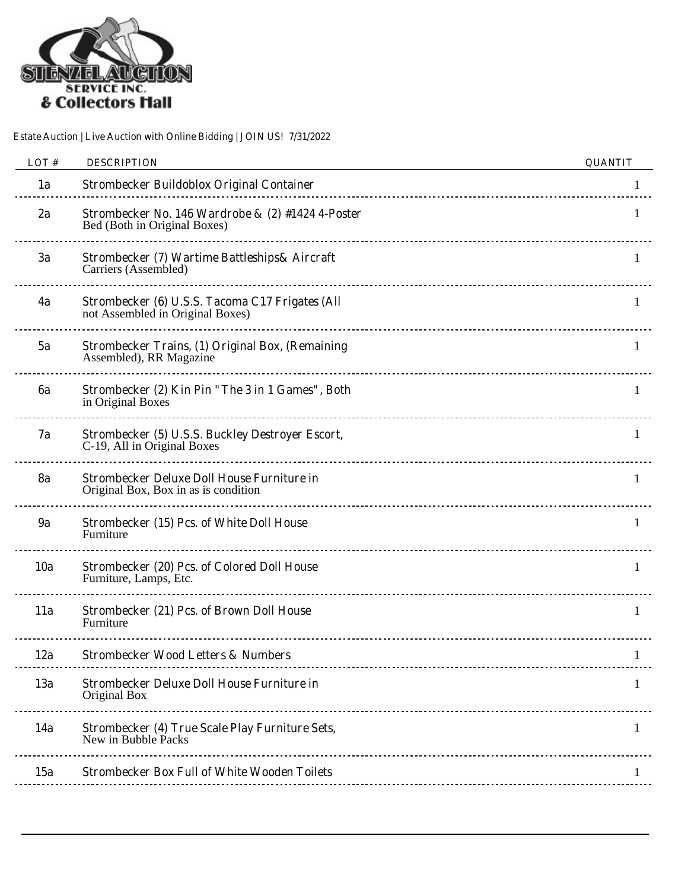

| LOT#      | <b>DESCRIPTION</b>                                                                        | <b>QUANTIT</b> |
|-----------|-------------------------------------------------------------------------------------------|----------------|
| 1a        | <b>Strombecker Buildoblox Original Container</b>                                          |                |
| 2a        | Strombecker No. 146 Wardrobe & $(2)$ #1424 4-Poster<br>Bed (Both in Original Boxes)       |                |
| 3a        | Strombecker (7) Wartime Battleships & Aircraft<br>Carriers (Assembled)                    |                |
| 4a        | Strombecker (6) U.S.S. Tacoma C17 Frigates (All<br>not Assembled in Original Boxes)       | 1              |
| 5a        | <b>Strombecker Trains, (1) Original Box, (Remaining</b><br>Assembled), RR Magazine        | 1              |
| 6a        | Strombecker (2) Kin Pin "The 3 in 1 Games", Both<br>in Original Boxes                     | 1              |
| 7a        | Strombecker (5) U.S.S. Buckley Destroyer Escort,<br>C-19, All in Original Boxes           | 1              |
| <b>8a</b> | <b>Strombecker Deluxe Doll House Furniture in</b><br>Original Box, Box in as is condition | 1              |
| 9a        | Strombecker (15) Pcs. of White Doll House<br>Furniture                                    | 1              |
| 10a       | Strombecker (20) Pcs. of Colored Doll House<br>Furniture, Lamps, Etc.                     | 1              |
| 11a       | Strombecker (21) Pcs. of Brown Doll House<br>Furniture                                    | 1              |
| 12a       | <b>Strombecker Wood Letters &amp; Numbers</b>                                             |                |
| 13a       | <b>Strombecker Deluxe Doll House Furniture in</b><br>Original Box                         |                |
| 14a       | <b>Strombecker (4) True Scale Play Furniture Sets,</b><br>New in Bubble Packs             | 1              |
| 15a       | <b>Strombecker Box Full of White Wooden Toilets</b>                                       |                |
|           |                                                                                           |                |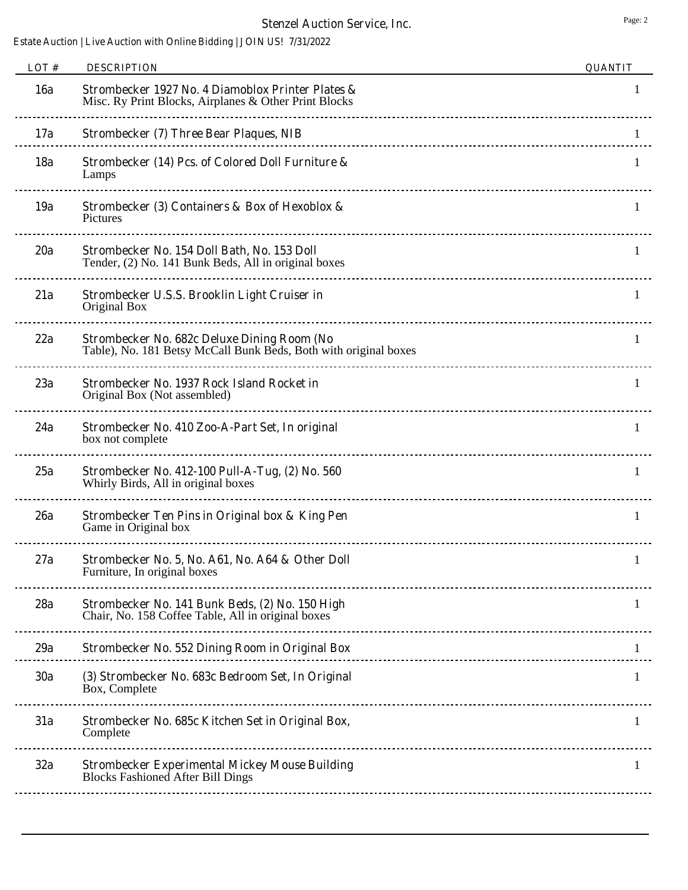| LOT#       | <b>DESCRIPTION</b>                                                                                                     | <b>QUANTIT</b> |
|------------|------------------------------------------------------------------------------------------------------------------------|----------------|
| <b>16a</b> | Strombecker 1927 No. 4 Diamoblox Printer Plates &<br>Misc. Ry Print Blocks, Airplanes & Other Print Blocks             |                |
| 17a        | <b>Strombecker (7) Three Bear Plaques, NIB</b>                                                                         |                |
| <b>18a</b> | Strombecker (14) Pcs. of Colored Doll Furniture &<br>Lamps                                                             |                |
| 19a        | Strombecker (3) Containers & Box of Hexoblox &<br>Pictures                                                             | 1              |
| 20a        | Strombecker No. 154 Doll Bath, No. 153 Doll<br>Tender, (2) No. 141 Bunk Beds, All in original boxes                    | 1              |
| 21a        | Strombecker U.S.S. Brooklin Light Cruiser in<br>Original Box                                                           | 1              |
| 22a        | <b>Strombecker No. 682c Deluxe Dining Room (No</b><br>Table), No. 181 Betsy McCall Bunk Beds, Both with original boxes | 1              |
| 23a        | Strombecker No. 1937 Rock Island Rocket in<br>Original Box (Not assembled)                                             | 1              |
| 24a        | Strombecker No. 410 Zoo-A-Part Set, In original<br>box not complete                                                    | 1              |
| 25a        | Strombecker No. 412-100 Pull-A-Tug, (2) No. 560<br>Whirly Birds, All in original boxes                                 | 1              |
| 26a        | Strombecker Ten Pins in Original box & King Pen<br>Game in Original box                                                | 1              |
| 27a        | Strombecker No. 5, No. A61, No. A64 & Other Doll<br>Furniture, In original boxes                                       |                |
| 28a        | Strombecker No. 141 Bunk Beds, (2) No. 150 High<br>Chair, No. 158 Coffee Table, All in original boxes                  | 1              |
| 29a        | <b>Strombecker No. 552 Dining Room in Original Box</b>                                                                 | 1              |
| 30a        | (3) Strombecker No. 683c Bedroom Set, In Original<br>Box, Complete                                                     | 1              |
| 31a        | Strombecker No. 685c Kitchen Set in Original Box,<br>Complete                                                          | 1              |
| 32a        | <b>Strombecker Experimental Mickey Mouse Building</b><br><b>Blocks Fashioned After Bill Dings</b>                      | 1              |
|            |                                                                                                                        |                |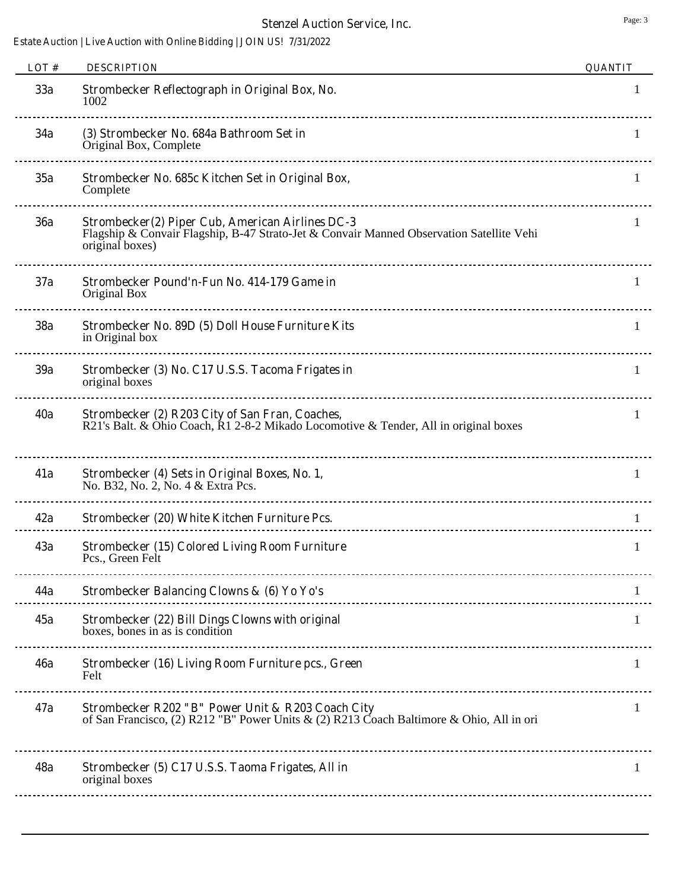## **Stenzel Auction Service, Inc.** Page: 3

| LOT#       | <b>DESCRIPTION</b>                                                                                                                                              | <b>QUANTIT</b> |
|------------|-----------------------------------------------------------------------------------------------------------------------------------------------------------------|----------------|
| 33a        | Strombecker Reflectograph in Original Box, No.<br>1002                                                                                                          |                |
| 34a        | (3) Strombecker No. 684a Bathroom Set in<br>Original Box, Complete                                                                                              |                |
| 35a        | Strombecker No. 685c Kitchen Set in Original Box,<br>Complete                                                                                                   | 1              |
| <b>36a</b> | Strombecker(2) Piper Cub, American Airlines DC-3<br>Flagship & Convair Flagship, B-47 Strato-Jet & Convair Manned Observation Satellite Vehi<br>original boxes) | 1              |
| 37a        | Strombecker Pound'n-Fun No. 414-179 Game in<br>Original Box                                                                                                     | 1              |
| <b>38a</b> | Strombecker No. 89D (5) Doll House Furniture Kits<br>in Original box                                                                                            | 1              |
| 39a        | Strombecker (3) No. C17 U.S.S. Tacoma Frigates in<br>original boxes                                                                                             | 1              |
| 40a        | Strombecker (2) R203 City of San Fran, Coaches,<br>R21's Balt. & Ohio Coach, R1 2-8-2 Mikado Locomotive & Tender, All in original boxes                         | 1              |
| 41a        | Strombecker (4) Sets in Original Boxes, No. 1,<br>No. B32, No. 2, No. 4 & Extra Pcs.                                                                            | 1              |
| 42a        | Strombecker (20) White Kitchen Furniture Pcs.                                                                                                                   |                |
| 43a        | <b>Strombecker (15) Colored Living Room Furniture</b><br>Pcs., Green Felt                                                                                       |                |
| 44a        | <b>Strombecker Balancing Clowns &amp; (6) Yo Yo's</b>                                                                                                           | 1              |
| 45a        | Strombecker (22) Bill Dings Clowns with original<br>boxes, bones in as is condition                                                                             | 1              |
| <b>46a</b> | Strombecker (16) Living Room Furniture pcs., Green<br>Felt                                                                                                      | 1              |
| 47a        | Strombecker R202 "B" Power Unit & R203 Coach City<br>of San Francisco, (2) R212 "B" Power Units & (2) R213 Coach Baltimore & Ohio, All in ori                   | 1              |
| <b>48a</b> | Strombecker (5) C17 U.S.S. Taoma Frigates, All in<br>original boxes                                                                                             | 1              |
|            |                                                                                                                                                                 |                |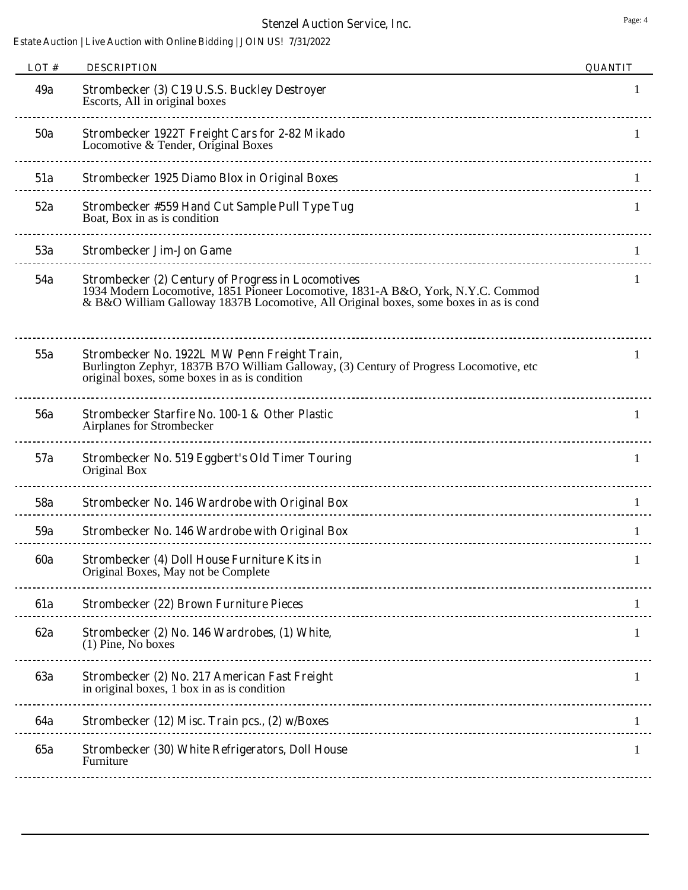| LOT $\#$   | <b>DESCRIPTION</b>                                                                                                                                                                                                                     | <b>QUANTIT</b> |
|------------|----------------------------------------------------------------------------------------------------------------------------------------------------------------------------------------------------------------------------------------|----------------|
| 49a        | Strombecker (3) C19 U.S.S. Buckley Destroyer<br>Escorts, All in original boxes                                                                                                                                                         |                |
| 50a        | Strombecker 1922T Freight Cars for 2-82 Mikado<br>Locomotive & Tender, Original Boxes                                                                                                                                                  |                |
| 51a        | <b>Strombecker 1925 Diamo Blox in Original Boxes</b>                                                                                                                                                                                   |                |
| 52a        | Strombecker #559 Hand Cut Sample Pull Type Tug<br>Boat, Box in as is condition                                                                                                                                                         |                |
| 53a        | <b>Strombecker Jim-Jon Game</b>                                                                                                                                                                                                        |                |
| 54a        | <b>Strombecker (2) Century of Progress in Locomotives</b><br>1934 Modern Locomotive, 1851 Pioneer Locomotive, 1831-A B&O, York, N.Y.C. Commod<br>& B&O William Galloway 1837B Locomotive, All Original boxes, some boxes in as is cond |                |
| 55a        | Strombecker No. 1922L MW Penn Freight Train,<br>Burlington Zephyr, 1837B B7O William Galloway, (3) Century of Progress Locomotive, etc<br>original boxes, some boxes in as is condition                                                |                |
| <b>56a</b> | Strombecker Starfire No. 100-1 & Other Plastic<br>Airplanes for Strombecker                                                                                                                                                            | 1              |
| 57a        | <b>Strombecker No. 519 Eggbert's Old Timer Touring</b><br>Original Box                                                                                                                                                                 | 1              |
| 58a        | Strombecker No. 146 Wardrobe with Original Box                                                                                                                                                                                         | 1              |
| 59a        | Strombecker No. 146 Wardrobe with Original Box                                                                                                                                                                                         | 1              |
| <b>60a</b> | <b>Strombecker (4) Doll House Furniture Kits in</b><br>Original Boxes, May not be Complete                                                                                                                                             |                |
| <b>61a</b> | <b>Strombecker (22) Brown Furniture Pieces</b>                                                                                                                                                                                         |                |
| 62a        | Strombecker (2) No. 146 Wardrobes, (1) White,<br>$(1)$ Pine, No boxes                                                                                                                                                                  | 1              |
| 63a        | Strombecker (2) No. 217 American Fast Freight<br>in original boxes, 1 box in as is condition                                                                                                                                           | 1              |
| <b>64a</b> | Strombecker (12) Misc. Train pcs., (2) w/Boxes                                                                                                                                                                                         |                |
| <b>65a</b> | Strombecker (30) White Refrigerators, Doll House<br>Furniture                                                                                                                                                                          |                |
|            |                                                                                                                                                                                                                                        |                |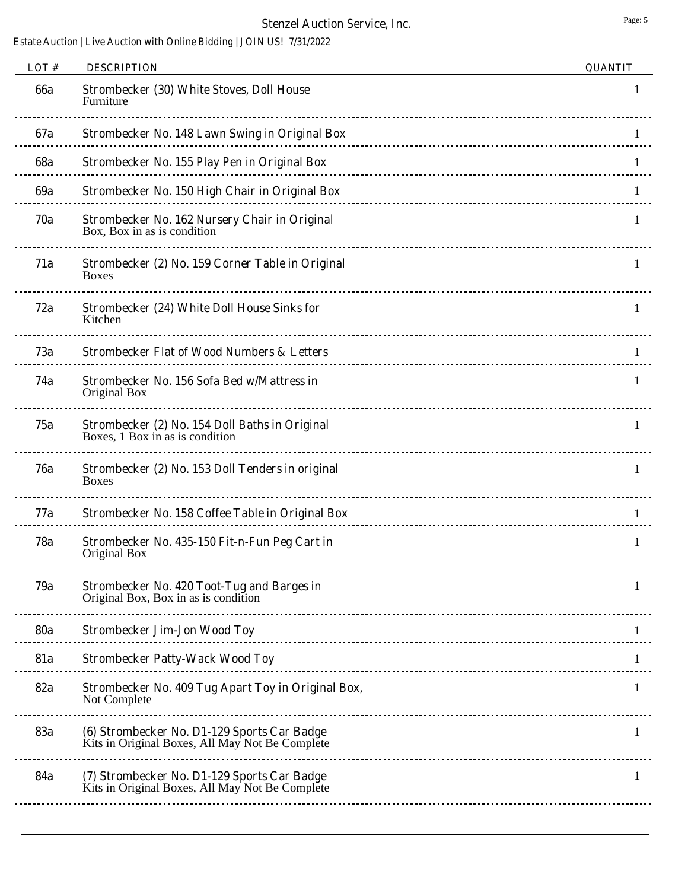## **Stenzel Auction Service, Inc.** Page: 5

| LOT#       | <b>DESCRIPTION</b>                                                                             | <b>QUANTIT</b> |
|------------|------------------------------------------------------------------------------------------------|----------------|
| <b>66a</b> | <b>Strombecker (30) White Stoves, Doll House</b><br>Furniture                                  |                |
| <b>67a</b> | <b>Strombecker No. 148 Lawn Swing in Original Box</b>                                          |                |
| <b>68a</b> | Strombecker No. 155 Play Pen in Original Box                                                   |                |
| 69a        | Strombecker No. 150 High Chair in Original Box                                                 |                |
| 70a        | Strombecker No. 162 Nursery Chair in Original<br>Box, Box in as is condition                   |                |
| 71a        | Strombecker (2) No. 159 Corner Table in Original<br><b>Boxes</b>                               |                |
| 72a        | <b>Strombecker (24) White Doll House Sinks for</b><br>Kitchen                                  | 1              |
| 73a        | <b>Strombecker Flat of Wood Numbers &amp; Letters</b>                                          |                |
| 74a        | Strombecker No. 156 Sofa Bed w/Mattress in<br>Original Box                                     |                |
| 75a        | Strombecker (2) No. 154 Doll Baths in Original<br>Boxes, 1 Box in as is condition              |                |
| <b>76a</b> | Strombecker (2) No. 153 Doll Tenders in original<br><b>Boxes</b>                               |                |
| 77a        | Strombecker No. 158 Coffee Table in Original Box                                               |                |
| <b>78a</b> | Strombecker No. 435-150 Fit-n-Fun Peg Cart in<br>Original Box                                  |                |
| 79a        | <b>Strombecker No. 420 Toot-Tug and Barges in</b><br>Original Box, Box in as is condition      |                |
| <b>80a</b> | <b>Strombecker Jim-Jon Wood Toy</b>                                                            |                |
| <b>81a</b> | <b>Strombecker Patty-Wack Wood Toy</b>                                                         |                |
| 82a        | Strombecker No. 409 Tug Apart Toy in Original Box,<br>Not Complete                             |                |
| <b>83a</b> | (6) Strombecker No. D1-129 Sports Car Badge<br>Kits in Original Boxes, All May Not Be Complete |                |
| 84a        | (7) Strombecker No. D1-129 Sports Car Badge<br>Kits in Original Boxes, All May Not Be Complete | 1              |
|            |                                                                                                |                |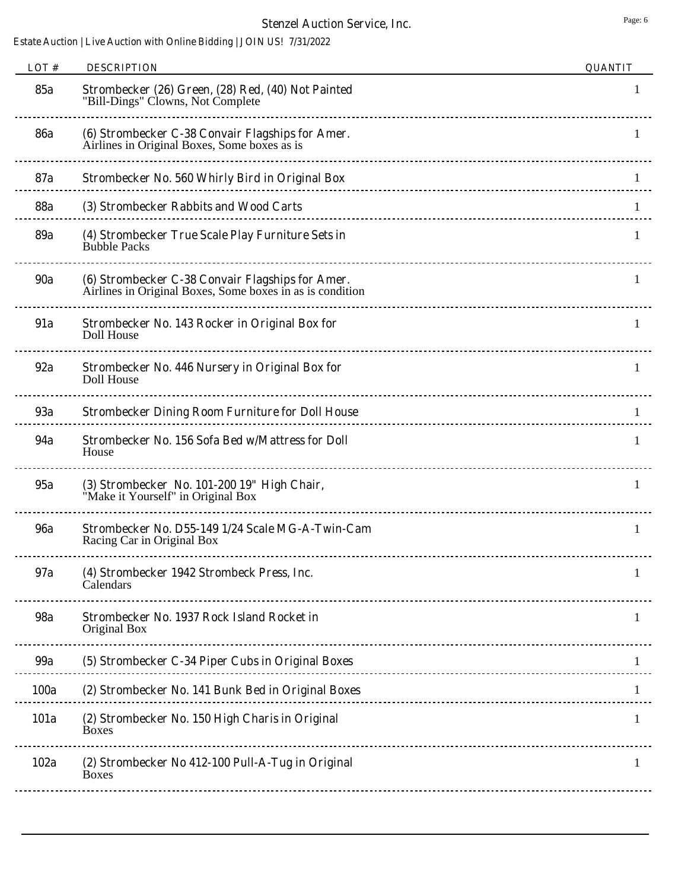| LOT#       | <b>DESCRIPTION</b>                                                                                            | <b>QUANTIT</b> |
|------------|---------------------------------------------------------------------------------------------------------------|----------------|
| 85a        | Strombecker (26) Green, (28) Red, (40) Not Painted<br>"Bill-Dings" Clowns, Not Complete                       |                |
| <b>86a</b> | (6) Strombecker C-38 Convair Flagships for Amer.<br>Airlines in Original Boxes, Some boxes as is              | 1              |
| <b>87a</b> | Strombecker No. 560 Whirly Bird in Original Box                                                               |                |
| <b>88a</b> | (3) Strombecker Rabbits and Wood Carts                                                                        | 1              |
| <b>89a</b> | (4) Strombecker True Scale Play Furniture Sets in<br><b>Bubble Packs</b>                                      | 1              |
| <b>90a</b> | (6) Strombecker C-38 Convair Flagships for Amer.<br>Airlines in Original Boxes, Some boxes in as is condition | 1              |
| <b>91a</b> | Strombecker No. 143 Rocker in Original Box for<br>Doll House                                                  | 1              |
| 92a        | Strombecker No. 446 Nursery in Original Box for<br>Doll House                                                 | 1              |
| 93a        | <b>Strombecker Dining Room Furniture for Doll House</b>                                                       | 1              |
| <b>94a</b> | Strombecker No. 156 Sofa Bed w/Mattress for Doll<br>House                                                     | Т.             |
| 95a        | (3) Strombecker No. 101-200 19" High Chair,<br>"Make it Yourself" in Original Box                             | 1              |
| <b>96a</b> | Strombecker No. D55-149 1/24 Scale MG-A-Twin-Cam<br>Racing Car in Original Box                                | 1              |
| 97a        | (4) Strombecker 1942 Strombeck Press, Inc.<br>Calendars                                                       | 1              |
| <b>98a</b> | Strombecker No. 1937 Rock Island Rocket in<br>Original Box                                                    | 1              |
| 99a        | (5) Strombecker C-34 Piper Cubs in Original Boxes                                                             |                |
| 100a       | (2) Strombecker No. 141 Bunk Bed in Original Boxes                                                            |                |
| 101a       | (2) Strombecker No. 150 High Charis in Original<br><b>Boxes</b>                                               | 1              |
| 102a       | (2) Strombecker No 412-100 Pull-A-Tug in Original<br><b>Boxes</b>                                             |                |
|            |                                                                                                               |                |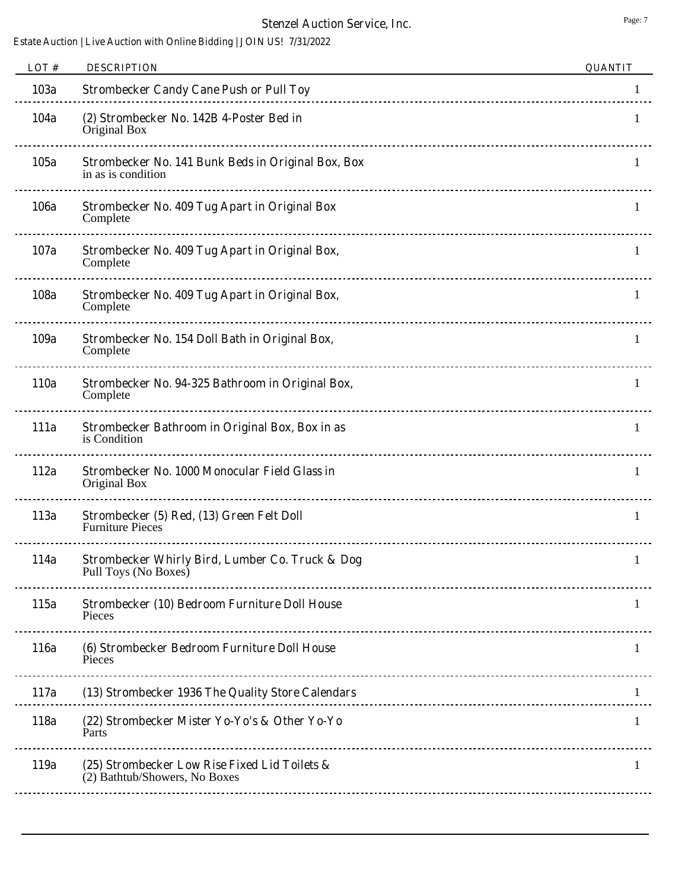| LOT# | <b>DESCRIPTION</b>                                                             | <b>QUANTIT</b> |
|------|--------------------------------------------------------------------------------|----------------|
| 103a | <b>Strombecker Candy Cane Push or Pull Toy</b>                                 | 1              |
| 104a | (2) Strombecker No. 142B 4-Poster Bed in<br>Original Box                       | 1              |
| 105a | Strombecker No. 141 Bunk Beds in Original Box, Box<br>in as is condition       | 1              |
| 106a | <b>Strombecker No. 409 Tug Apart in Original Box</b><br>Complete               | 1              |
| 107a | Strombecker No. 409 Tug Apart in Original Box,<br>Complete                     | 1              |
| 108a | Strombecker No. 409 Tug Apart in Original Box,<br>Complete                     | 1              |
| 109a | Strombecker No. 154 Doll Bath in Original Box,<br>Complete                     | 1              |
| 110a | Strombecker No. 94-325 Bathroom in Original Box,<br>Complete                   | 1              |
| 111a | Strombecker Bathroom in Original Box, Box in as<br>is Condition                | 1              |
| 112a | Strombecker No. 1000 Monocular Field Glass in<br>Original Box                  | 1              |
| 113a | Strombecker (5) Red, (13) Green Felt Doll<br><b>Furniture Pieces</b>           | 1              |
| 114a | Strombecker Whirly Bird, Lumber Co. Truck & Dog<br>Pull Toys (No Boxes)        |                |
| 115a | Strombecker (10) Bedroom Furniture Doll House<br>Pieces                        | 1              |
| 116a | (6) Strombecker Bedroom Furniture Doll House<br>Pieces                         | 1              |
| 117a | (13) Strombecker 1936 The Quality Store Calendars                              | 1              |
| 118a | (22) Strombecker Mister Yo-Yo's & Other Yo-Yo<br>Parts                         |                |
| 119a | (25) Strombecker Low Rise Fixed Lid Toilets &<br>(2) Bathtub/Showers, No Boxes | 1              |
|      |                                                                                |                |